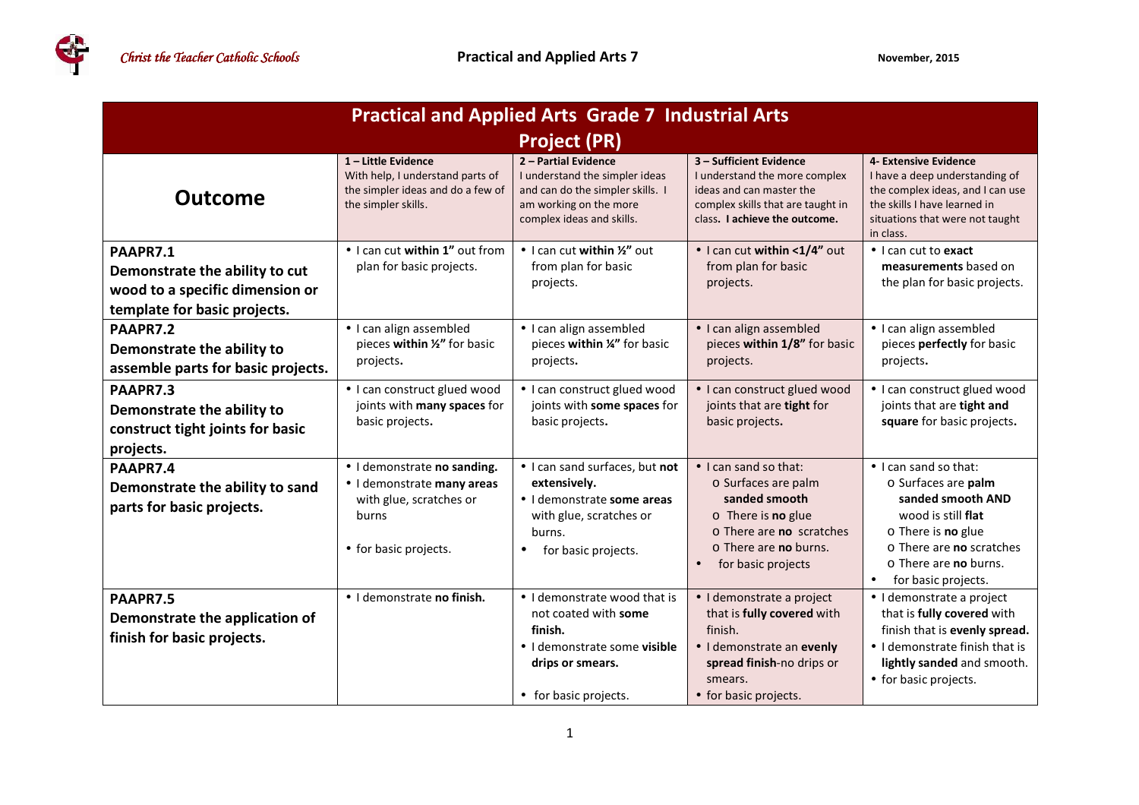**REGIST** 

| <b>Practical and Applied Arts Grade 7 Industrial Arts</b>                                                     |                                                                                                                        |                                                                                                                                                       |                                                                                                                                                                                                       |                                                                                                                                                                                                                     |  |  |  |
|---------------------------------------------------------------------------------------------------------------|------------------------------------------------------------------------------------------------------------------------|-------------------------------------------------------------------------------------------------------------------------------------------------------|-------------------------------------------------------------------------------------------------------------------------------------------------------------------------------------------------------|---------------------------------------------------------------------------------------------------------------------------------------------------------------------------------------------------------------------|--|--|--|
| <b>Project (PR)</b>                                                                                           |                                                                                                                        |                                                                                                                                                       |                                                                                                                                                                                                       |                                                                                                                                                                                                                     |  |  |  |
| <b>Outcome</b>                                                                                                | 1-Little Evidence<br>With help, I understand parts of<br>the simpler ideas and do a few of<br>the simpler skills.      | 2 - Partial Evidence<br>I understand the simpler ideas<br>and can do the simpler skills. I<br>am working on the more<br>complex ideas and skills.     | 3 - Sufficient Evidence<br>I understand the more complex<br>ideas and can master the<br>complex skills that are taught in<br>class. I achieve the outcome.                                            | 4- Extensive Evidence<br>I have a deep understanding of<br>the complex ideas, and I can use<br>the skills I have learned in<br>situations that were not taught<br>in class.                                         |  |  |  |
| PAAPR7.1<br>Demonstrate the ability to cut<br>wood to a specific dimension or<br>template for basic projects. | · I can cut within 1" out from<br>plan for basic projects.                                                             | • I can cut within 1/2" out<br>from plan for basic<br>projects.                                                                                       | · I can cut within <1/4" out<br>from plan for basic<br>projects.                                                                                                                                      | • I can cut to exact<br>measurements based on<br>the plan for basic projects.                                                                                                                                       |  |  |  |
| PAAPR7.2<br>Demonstrate the ability to<br>assemble parts for basic projects.                                  | · I can align assembled<br>pieces within 1/2" for basic<br>projects.                                                   | · I can align assembled<br>pieces within '4" for basic<br>projects.                                                                                   | · I can align assembled<br>pieces within 1/8" for basic<br>projects.                                                                                                                                  | · I can align assembled<br>pieces perfectly for basic<br>projects.                                                                                                                                                  |  |  |  |
| PAAPR7.3<br>Demonstrate the ability to<br>construct tight joints for basic<br>projects.                       | • I can construct glued wood<br>joints with many spaces for<br>basic projects.                                         | • I can construct glued wood<br>joints with some spaces for<br>basic projects.                                                                        | · I can construct glued wood<br>joints that are tight for<br>basic projects.                                                                                                                          | · I can construct glued wood<br>joints that are tight and<br>square for basic projects.                                                                                                                             |  |  |  |
| PAAPR7.4<br>Demonstrate the ability to sand<br>parts for basic projects.                                      | · I demonstrate no sanding.<br>· I demonstrate many areas<br>with glue, scratches or<br>burns<br>• for basic projects. | . I can sand surfaces, but not<br>extensively.<br>· I demonstrate some areas<br>with glue, scratches or<br>burns.<br>for basic projects.<br>$\bullet$ | $\bullet$ I can sand so that:<br>o Surfaces are palm<br>sanded smooth<br>$\circ$ There is no glue<br>$\circ$ There are no scratches<br>$\circ$ There are no burns.<br>for basic projects<br>$\bullet$ | • I can sand so that:<br>o Surfaces are palm<br>sanded smooth AND<br>wood is still <b>flat</b><br>$\circ$ There is <b>no</b> glue<br>o There are no scratches<br>$\circ$ There are no burns.<br>for basic projects. |  |  |  |
| PAAPR7.5<br>Demonstrate the application of<br>finish for basic projects.                                      | · I demonstrate no finish.                                                                                             | • I demonstrate wood that is<br>not coated with some<br>finish.<br>• I demonstrate some <b>visible</b><br>drips or smears.<br>• for basic projects.   | · I demonstrate a project<br>that is fully covered with<br>finish.<br>· I demonstrate an evenly<br>spread finish-no drips or<br>smears.<br>• for basic projects.                                      | · I demonstrate a project<br>that is fully covered with<br>finish that is evenly spread.<br>• I demonstrate finish that is<br>lightly sanded and smooth.<br>• for basic projects.                                   |  |  |  |